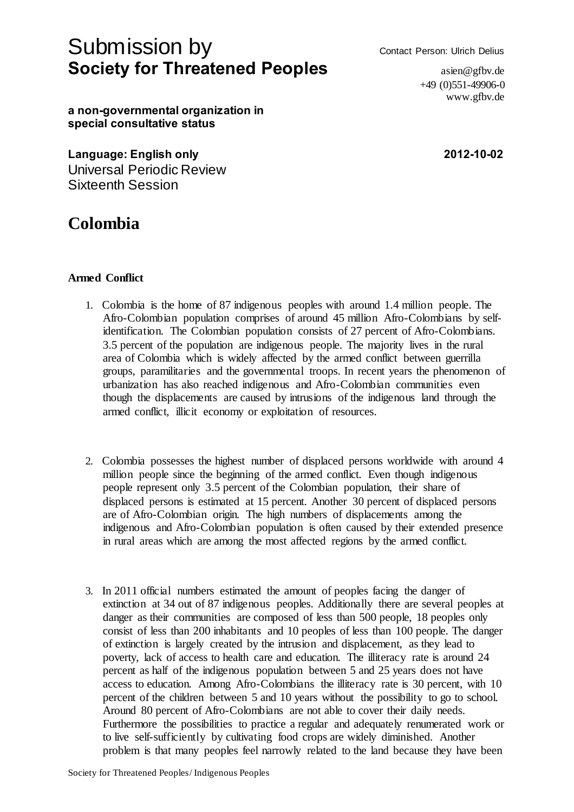# Submission by Contact Person: Ulrich Delius **Society for Threatened Peoples asimilar asimilar asimilar asimilar asimilar asimilar asimilar asimilar asimilar asimilar asimilar asimilar asimilar asimilar asimilar asimilar asimilar asimilar asimilar asimilar asimilar**

 $+49(0)551-49906-0$ www.gfbv.de

**a non-governmental organization in special consultative status**

**Language: English only 2012-10-02** Universal Periodic Review Sixteenth Session

# **Colombia**

## **Armed Conflict**

- 1. Colombia is the home of 87 indigenous peoples with around 1.4 million people. The Afro-Colombian population comprises of around 45 million Afro-Colombians by selfidentification. The Colombian population consists of 27 percent of Afro-Colombians. 3.5 percent of the population are indigenous people. The majority lives in the rural area of Colombia which is widely affected by the armed conflict between guerrilla groups, paramilitaries and the governmental troops. In recent years the phenomenon of urbanization has also reached indigenous and Afro-Colombian communities even though the displacements are caused by intrusions of the indigenous land through the armed conflict, illicit economy or exploitation of resources.
- 2. Colombia possesses the highest number of displaced persons worldwide with around 4 million people since the beginning of the armed conflict. Even though indigenous people represent only 3.5 percent of the Colombian population, their share of displaced persons is estimated at 15 percent. Another 30 percent of displaced persons are of Afro-Colombian origin. The high numbers of displacements among the indigenous and Afro-Colombian population is often caused by their extended presence in rural areas which are among the most affected regions by the armed conflict.
- 3. In 2011 official numbers estimated the amount of peoples facing the danger of extinction at 34 out of 87 indigenous peoples. Additionally there are several peoples at danger as their communities are composed of less than 500 people, 18 peoples only consist of less than 200 inhabitants and 10 peoples of less than 100 people. The danger of extinction is largely created by the intrusion and displacement, as they lead to poverty, lack of access to health care and education. The illiteracy rate is around 24 percent as half of the indigenous population between 5 and 25 years does not have access to education. Among Afro-Colombians the illiteracy rate is 30 percent, with 10 percent of the children between 5 and 10 years without the possibility to go to school. Around 80 percent of Afro-Colombians are not able to cover their daily needs. Furthermore the possibilities to practice a regular and adequately renumerated work or to live self-sufficiently by cultivating food crops are widely diminished. Another problem is that many peoples feel narrowly related to the land because they have been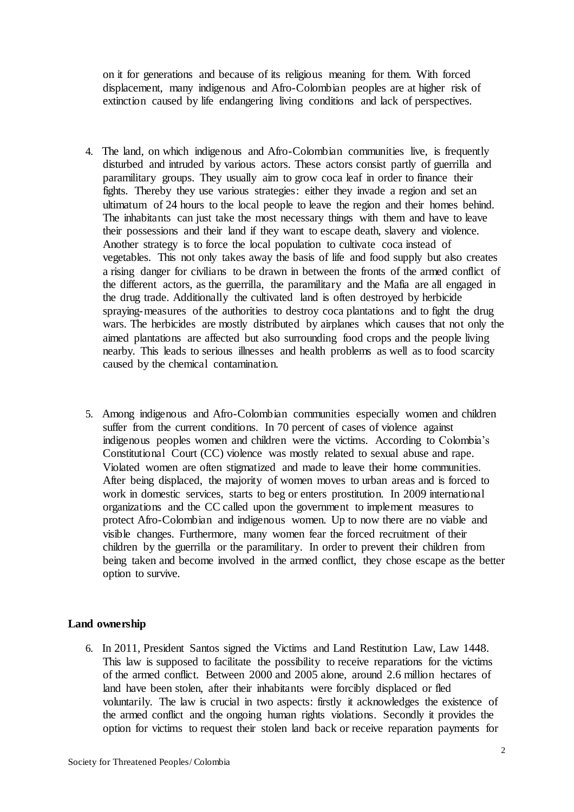on it for generations and because of its religious meaning for them. With forced displacement, many indigenous and Afro-Colombian peoples are at higher risk of extinction caused by life endangering living conditions and lack of perspectives.

- 4. The land, on which indigenous and Afro-Colombian communities live, is frequently disturbed and intruded by various actors. These actors consist partly of guerrilla and paramilitary groups. They usually aim to grow coca leaf in order to finance their fights. Thereby they use various strategies: either they invade a region and set an ultimatum of 24 hours to the local people to leave the region and their homes behind. The inhabitants can just take the most necessary things with them and have to leave their possessions and their land if they want to escape death, slavery and violence. Another strategy is to force the local population to cultivate coca instead of vegetables. This not only takes away the basis of life and food supply but also creates a rising danger for civilians to be drawn in between the fronts of the armed conflict of the different actors, as the guerrilla, the paramilitary and the Mafia are all engaged in the drug trade. Additionally the cultivated land is often destroyed by herbicide spraying-measures of the authorities to destroy coca plantations and to fight the drug wars. The herbicides are mostly distributed by airplanes which causes that not only the aimed plantations are affected but also surrounding food crops and the people living nearby. This leads to serious illnesses and health problems as well as to food scarcity caused by the chemical contamination.
- 5. Among indigenous and Afro-Colombian communities especially women and children suffer from the current conditions. In 70 percent of cases of violence against indigenous peoples women and children were the victims. According to Colombia's Constitutional Court (CC) violence was mostly related to sexual abuse and rape. Violated women are often stigmatized and made to leave their home communities. After being displaced, the majority of women moves to urban areas and is forced to work in domestic services, starts to beg or enters prostitution. In 2009 international organizations and the CC called upon the government to implement measures to protect Afro-Colombian and indigenous women. Up to now there are no viable and visible changes. Furthermore, many women fear the forced recruitment of their children by the guerrilla or the paramilitary. In order to prevent their children from being taken and become involved in the armed conflict, they chose escape as the better option to survive.

### **Land ownership**

6. In 2011, President Santos signed the Victims and Land Restitution Law, Law 1448. This law is supposed to facilitate the possibility to receive reparations for the victims of the armed conflict. Between 2000 and 2005 alone, around 2.6 million hectares of land have been stolen, after their inhabitants were forcibly displaced or fled voluntarily. The law is crucial in two aspects: firstly it acknowledges the existence of the armed conflict and the ongoing human rights violations. Secondly it provides the option for victims to request their stolen land back or receive reparation payments for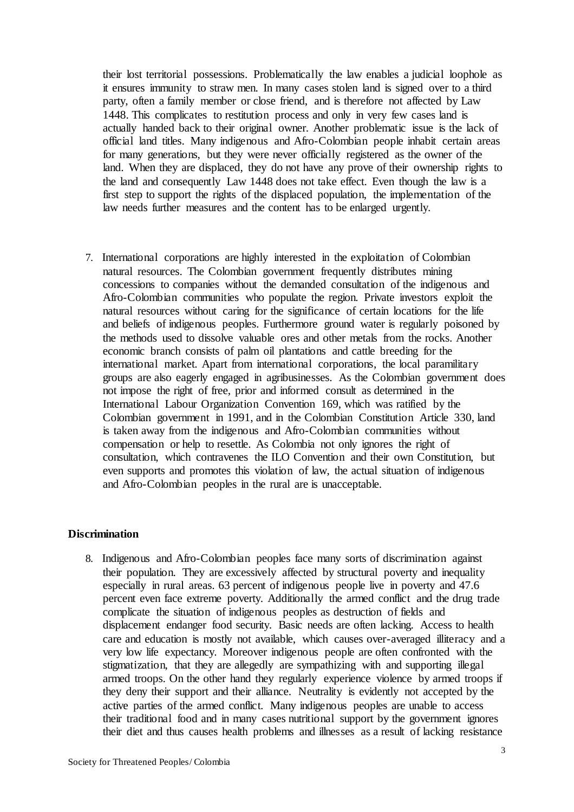their lost territorial possessions. Problematically the law enables a judicial loophole as it ensures immunity to straw men. In many cases stolen land is signed over to a third party, often a family member or close friend, and is therefore not affected by Law 1448. This complicates to restitution process and only in very few cases land is actually handed back to their original owner. Another problematic issue is the lack of official land titles. Many indigenous and Afro-Colombian people inhabit certain areas for many generations, but they were never officially registered as the owner of the land. When they are displaced, they do not have any prove of their ownership rights to the land and consequently Law 1448 does not take effect. Even though the law is a first step to support the rights of the displaced population, the implementation of the law needs further measures and the content has to be enlarged urgently.

7. International corporations are highly interested in the exploitation of Colombian natural resources. The Colombian government frequently distributes mining concessions to companies without the demanded consultation of the indigenous and Afro-Colombian communities who populate the region. Private investors exploit the natural resources without caring for the significance of certain locations for the life and beliefs of indigenous peoples. Furthermore ground water is regularly poisoned by the methods used to dissolve valuable ores and other metals from the rocks. Another economic branch consists of palm oil plantations and cattle breeding for the international market. Apart from international corporations, the local paramilitary groups are also eagerly engaged in agribusinesses. As the Colombian government does not impose the right of free, prior and informed consult as determined in the International Labour Organization Convention 169, which was ratified by the Colombian government in 1991, and in the Colombian Constitution Article 330, land is taken away from the indigenous and Afro-Colombian communities without compensation or help to resettle. As Colombia not only ignores the right of consultation, which contravenes the ILO Convention and their own Constitution, but even supports and promotes this violation of law, the actual situation of indigenous and Afro-Colombian peoples in the rural are is unacceptable.

### **Discrimination**

8. Indigenous and Afro-Colombian peoples face many sorts of discrimination against their population. They are excessively affected by structural poverty and inequality especially in rural areas. 63 percent of indigenous people live in poverty and 47.6 percent even face extreme poverty. Additionally the armed conflict and the drug trade complicate the situation of indigenous peoples as destruction of fields and displacement endanger food security. Basic needs are often lacking. Access to health care and education is mostly not available, which causes over-averaged illiteracy and a very low life expectancy. Moreover indigenous people are often confronted with the stigmatization, that they are allegedly are sympathizing with and supporting illegal armed troops. On the other hand they regularly experience violence by armed troops if they deny their support and their alliance. Neutrality is evidently not accepted by the active parties of the armed conflict. Many indigenous peoples are unable to access their traditional food and in many cases nutritional support by the government ignores their diet and thus causes health problems and illnesses as a result of lacking resistance